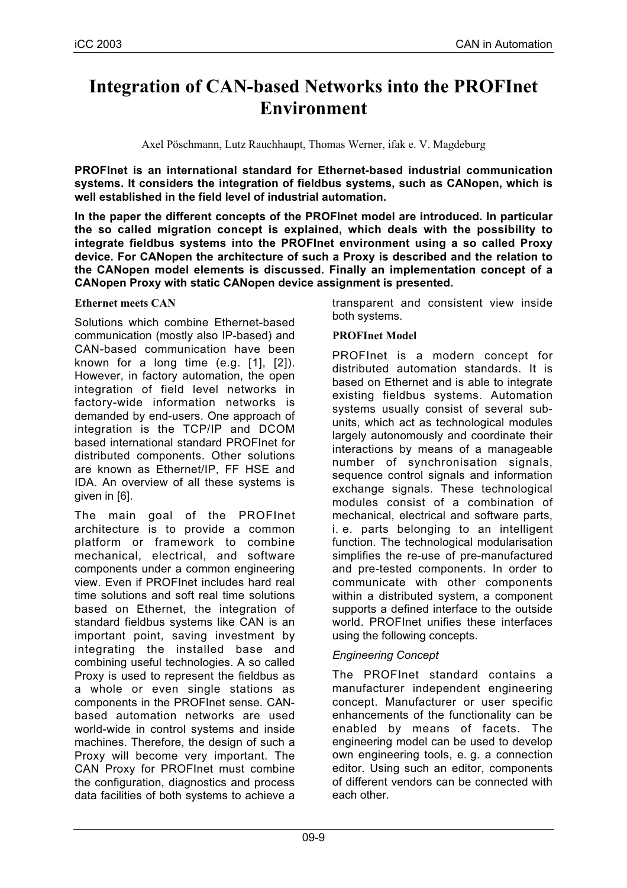# **Integration of CAN-based Networks into the PROFInet Environment**

Axel Pöschmann, Lutz Rauchhaupt, Thomas Werner, ifak e. V. Magdeburg

**PROFInet is an international standard for Ethernet-based industrial communication systems. It considers the integration of fieldbus systems, such as CANopen, which is well established in the field level of industrial automation.**

**In the paper the different concepts of the PROFInet model are introduced. In particular the so called migration concept is explained, which deals with the possibility to integrate fieldbus systems into the PROFInet environment using a so called Proxy device. For CANopen the architecture of such a Proxy is described and the relation to the CANopen model elements is discussed. Finally an implementation concept of a CANopen Proxy with static CANopen device assignment is presented.**

### **Ethernet meets CAN**

Solutions which combine Ethernet-based communication (mostly also IP-based) and CAN-based communication have been known for a long time  $(e.g. [1], [2]).$ However, in factory automation, the open integration of field level networks in factory-wide information networks is demanded by end-users. One approach of integration is the TCP/IP and DCOM based international standard PROFInet for distributed components. Other solutions are known as Ethernet/IP, FF HSE and IDA. An overview of all these systems is given in [6].

The main goal of the PROFInet architecture is to provide a common platform or framework to combine mechanical, electrical, and software components under a common engineering view. Even if PROFInet includes hard real time solutions and soft real time solutions based on Ethernet, the integration of standard fieldbus systems like CAN is an important point, saving investment by integrating the installed base and combining useful technologies. A so called Proxy is used to represent the fieldbus as a whole or even single stations as components in the PROFInet sense. CANbased automation networks are used world-wide in control systems and inside machines. Therefore, the design of such a Proxy will become very important. The CAN Proxy for PROFInet must combine the configuration, diagnostics and process data facilities of both systems to achieve a

transparent and consistent view inside both systems.

# **PROFInet Model**

PROFInet is a modern concept for distributed automation standards. It is based on Ethernet and is able to integrate existing fieldbus systems. Automation systems usually consist of several subunits, which act as technological modules largely autonomously and coordinate their interactions by means of a manageable number of synchronisation signals, sequence control signals and information exchange signals. These technological modules consist of a combination of mechanical, electrical and software parts, i. e. parts belonging to an intelligent function. The technological modularisation simplifies the re-use of pre-manufactured and pre-tested components. In order to communicate with other components within a distributed system, a component supports a defined interface to the outside world. PROFInet unifies these interfaces using the following concepts.

# *Engineering Concept*

The PROFInet standard contains a manufacturer independent engineering concept. Manufacturer or user specific enhancements of the functionality can be enabled by means of facets. The engineering model can be used to develop own engineering tools, e. g. a connection editor. Using such an editor, components of different vendors can be connected with each other.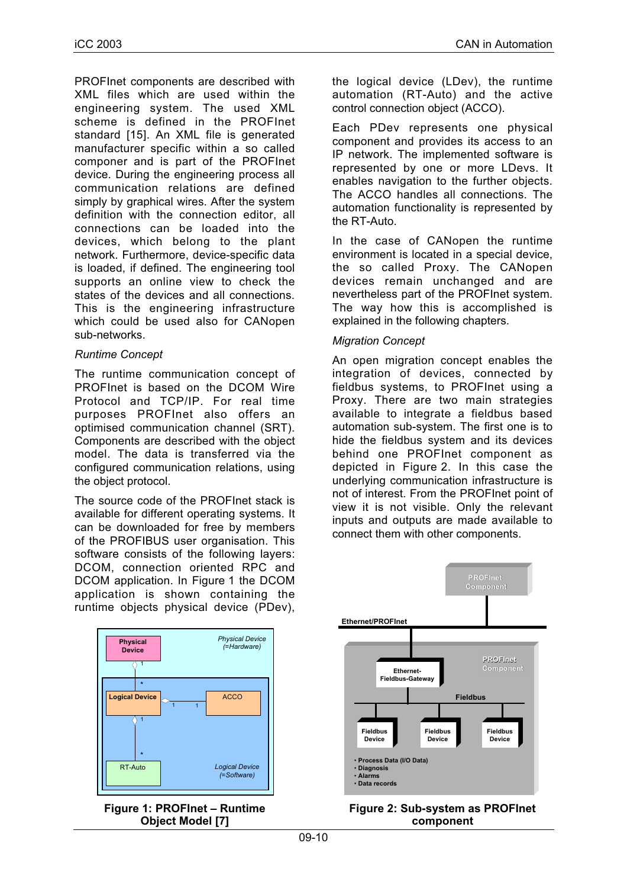PROFInet components are described with XML files which are used within the engineering system. The used XML scheme is defined in the PROFInet standard [15]. An XML file is generated manufacturer specific within a so called componer and is part of the PROFInet device. During the engineering process all communication relations are defined simply by graphical wires. After the system definition with the connection editor, all connections can be loaded into the devices, which belong to the plant network. Furthermore, device-specific data is loaded, if defined. The engineering tool supports an online view to check the states of the devices and all connections. This is the engineering infrastructure which could be used also for CANopen sub-networks.

# *Runtime Concept*

The runtime communication concept of PROFInet is based on the DCOM Wire Protocol and TCP/IP. For real time purposes PROFInet also offers an optimised communication channel (SRT). Components are described with the object model. The data is transferred via the configured communication relations, using the object protocol.

The source code of the PROFInet stack is available for different operating systems. It can be downloaded for free by members of the PROFIBUS user organisation. This software consists of the following layers: DCOM, connection oriented RPC and DCOM application. In Figure 1 the DCOM application is shown containing the runtime objects physical device (PDev),





the logical device (LDev), the runtime automation (RT-Auto) and the active control connection object (ACCO).

Each PDev represents one physical component and provides its access to an IP network. The implemented software is represented by one or more LDevs. It enables navigation to the further objects. The ACCO handles all connections. The automation functionality is represented by the RT-Auto.

In the case of CANopen the runtime environment is located in a special device, the so called Proxy. The CANopen devices remain unchanged and are nevertheless part of the PROFInet system. The way how this is accomplished is explained in the following chapters.

# *Migration Concept*

An open migration concept enables the integration of devices, connected by fieldbus systems, to PROFInet using a Proxy. There are two main strategies available to integrate a fieldbus based automation sub-system. The first one is to hide the fieldbus system and its devices behind one PROFInet component as depicted in Figure 2. In this case the underlying communication infrastructure is not of interest. From the PROFInet point of view it is not visible. Only the relevant inputs and outputs are made available to connect them with other components.



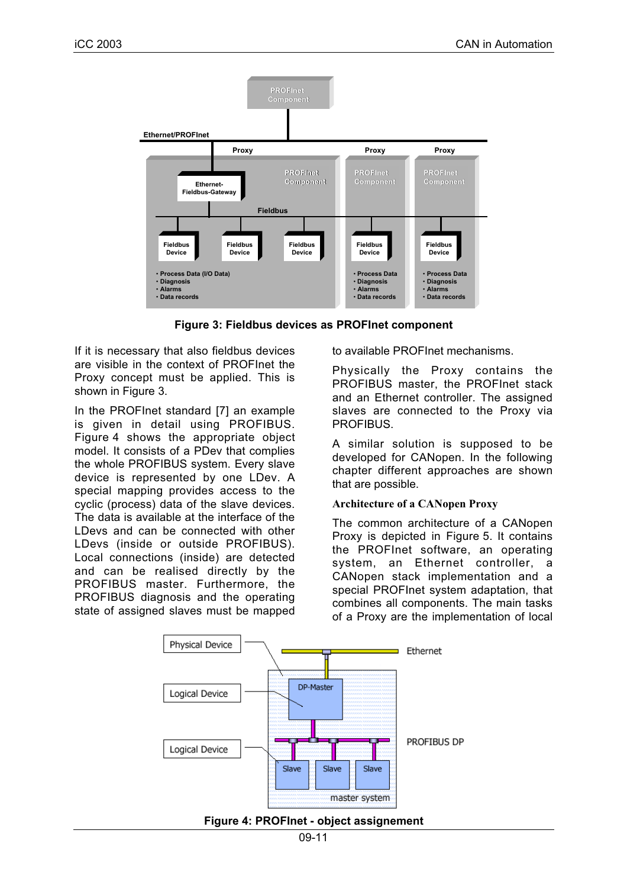

**Figure 3: Fieldbus devices as PROFInet component**

If it is necessary that also fieldbus devices are visible in the context of PROFInet the Proxy concept must be applied. This is shown in Figure 3.

In the PROFInet standard [7] an example is given in detail using PROFIBUS. Figure 4 shows the appropriate object model. It consists of a PDev that complies the whole PROFIBUS system. Every slave device is represented by one LDev. A special mapping provides access to the cyclic (process) data of the slave devices. The data is available at the interface of the LDevs and can be connected with other LDevs (inside or outside PROFIBUS). Local connections (inside) are detected and can be realised directly by the PROFIBUS master. Furthermore, the PROFIBUS diagnosis and the operating state of assigned slaves must be mapped

to available PROFInet mechanisms.

Physically the Proxy contains the PROFIBUS master, the PROFInet stack and an Ethernet controller. The assigned slaves are connected to the Proxy via **PROFIBUS.** 

A similar solution is supposed to be developed for CANopen. In the following chapter different approaches are shown that are possible.

#### **Architecture of a CANopen Proxy**

The common architecture of a CANopen Proxy is depicted in Figure 5. It contains the PROFInet software, an operating system, an Ethernet controller, a CANopen stack implementation and a special PROFInet system adaptation, that combines all components. The main tasks of a Proxy are the implementation of local



**Figure 4: PROFInet - object assignement**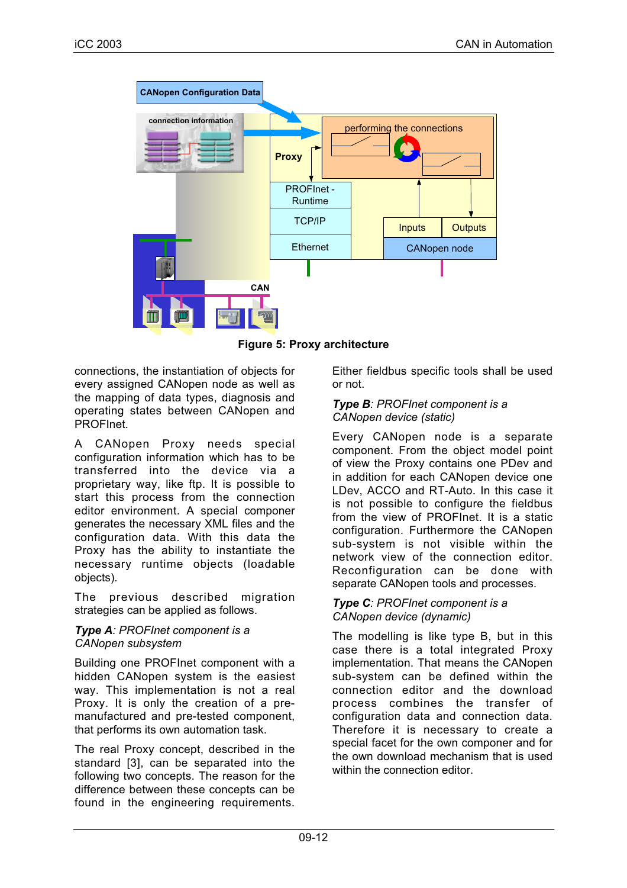

**Figure 5: Proxy architecture**

connections, the instantiation of objects for every assigned CANopen node as well as the mapping of data types, diagnosis and operating states between CANopen and PROFInet.

A CANopen Proxy needs special configuration information which has to be transferred into the device via a proprietary way, like ftp. It is possible to start this process from the connection editor environment. A special componer generates the necessary XML files and the configuration data. With this data the Proxy has the ability to instantiate the necessary runtime objects (loadable objects).

The previous described migration strategies can be applied as follows.

#### *Type A: PROFInet component is a CANopen subsystem*

Building one PROFInet component with a hidden CANopen system is the easiest way. This implementation is not a real Proxy. It is only the creation of a premanufactured and pre-tested component, that performs its own automation task.

The real Proxy concept, described in the standard [3], can be separated into the following two concepts. The reason for the difference between these concepts can be found in the engineering requirements. Either fieldbus specific tools shall be used or not.

# *Type B: PROFInet component is a CANopen device (static)*

Every CANopen node is a separate component. From the object model point of view the Proxy contains one PDev and in addition for each CANopen device one LDev, ACCO and RT-Auto. In this case it is not possible to configure the fieldbus from the view of PROFInet. It is a static configuration. Furthermore the CANopen sub-system is not visible within the network view of the connection editor. Reconfiguration can be done with separate CANopen tools and processes.

# *Type C: PROFInet component is a CANopen device (dynamic)*

The modelling is like type B, but in this case there is a total integrated Proxy implementation. That means the CANopen sub-system can be defined within the connection editor and the download process combines the transfer of configuration data and connection data. Therefore it is necessary to create a special facet for the own componer and for the own download mechanism that is used within the connection editor.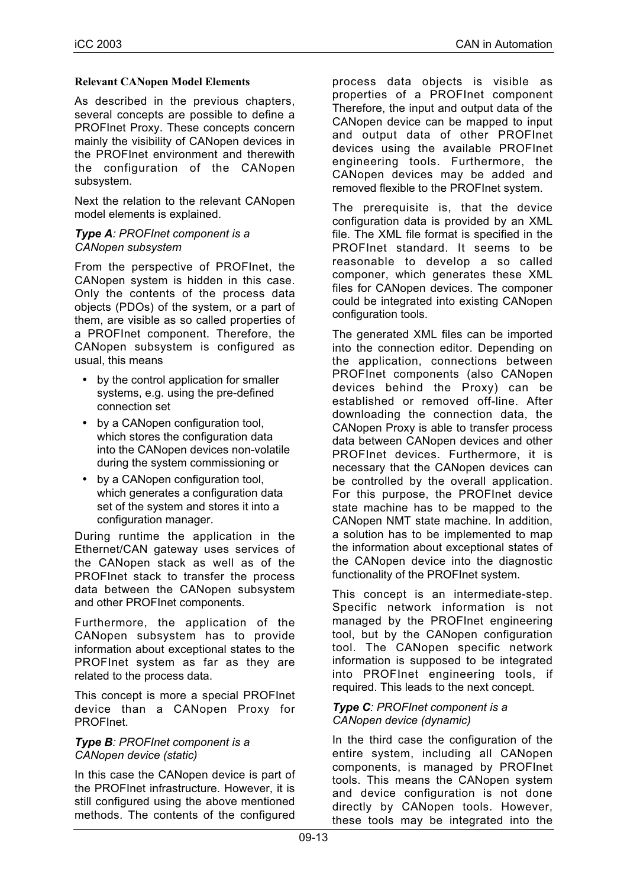### **Relevant CANopen Model Elements**

As described in the previous chapters, several concepts are possible to define a PROFInet Proxy. These concepts concern mainly the visibility of CANopen devices in the PROFInet environment and therewith the configuration of the CANopen subsystem.

Next the relation to the relevant CANopen model elements is explained.

#### *Type A: PROFInet component is a CANopen subsystem*

From the perspective of PROFInet, the CANopen system is hidden in this case. Only the contents of the process data objects (PDOs) of the system, or a part of them, are visible as so called properties of a PROFInet component. Therefore, the CANopen subsystem is configured as usual, this means

- by the control application for smaller systems, e.g. using the pre-defined connection set
- by a CANopen configuration tool, which stores the configuration data into the CANopen devices non-volatile during the system commissioning or
- by a CANopen configuration tool. which generates a configuration data set of the system and stores it into a configuration manager.

During runtime the application in the Ethernet/CAN gateway uses services of the CANopen stack as well as of the PROFInet stack to transfer the process data between the CANopen subsystem and other PROFInet components.

Furthermore, the application of the CANopen subsystem has to provide information about exceptional states to the PROFInet system as far as they are related to the process data.

This concept is more a special PROFInet device than a CANopen Proxy for PROFInet.

### *Type B: PROFInet component is a CANopen device (static)*

In this case the CANopen device is part of the PROFInet infrastructure. However, it is still configured using the above mentioned methods. The contents of the configured

process data objects is visible as properties of a PROFInet component Therefore, the input and output data of the CANopen device can be mapped to input and output data of other PROFInet devices using the available PROFInet engineering tools. Furthermore, the CANopen devices may be added and removed flexible to the PROFInet system.

The prerequisite is, that the device configuration data is provided by an XML file. The XML file format is specified in the PROFInet standard. It seems to be reasonable to develop a so called componer, which generates these XML files for CANopen devices. The componer could be integrated into existing CANopen configuration tools.

The generated XML files can be imported into the connection editor. Depending on the application, connections between PROFInet components (also CANopen devices behind the Proxy) can be established or removed off-line. After downloading the connection data, the CANopen Proxy is able to transfer process data between CANopen devices and other PROFInet devices. Furthermore, it is necessary that the CANopen devices can be controlled by the overall application. For this purpose, the PROFInet device state machine has to be mapped to the CANopen NMT state machine. In addition, a solution has to be implemented to map the information about exceptional states of the CANopen device into the diagnostic functionality of the PROFInet system.

This concept is an intermediate-step. Specific network information is not managed by the PROFInet engineering tool, but by the CANopen configuration tool. The CANopen specific network information is supposed to be integrated into PROFInet engineering tools, if required. This leads to the next concept.

#### *Type C: PROFInet component is a CANopen device (dynamic)*

In the third case the configuration of the entire system, including all CANopen components, is managed by PROFInet tools. This means the CANopen system and device configuration is not done directly by CANopen tools. However, these tools may be integrated into the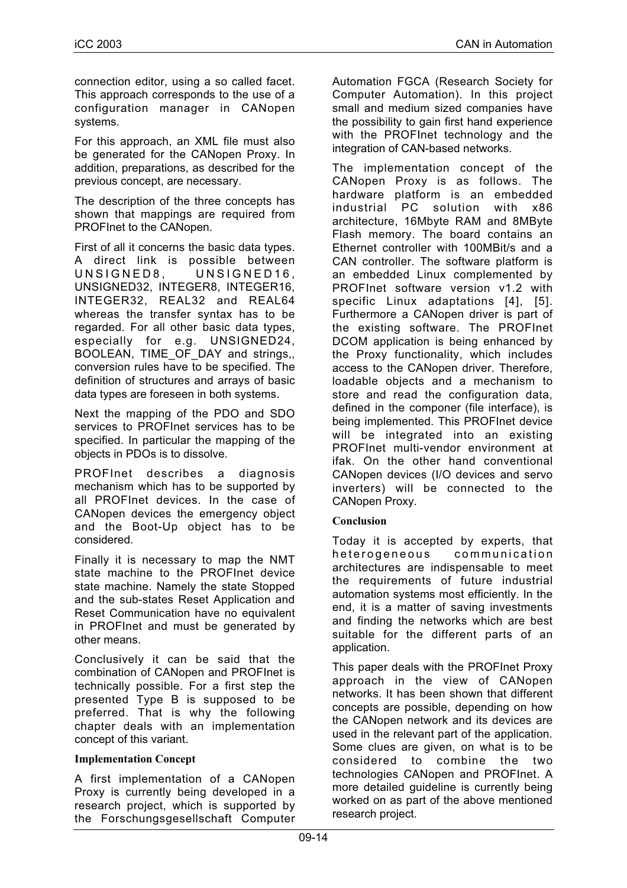connection editor, using a so called facet. This approach corresponds to the use of a configuration manager in CANopen systems.

For this approach, an XML file must also be generated for the CANopen Proxy. In addition, preparations, as described for the previous concept, are necessary.

The description of the three concepts has shown that mappings are required from PROFInet to the CANopen.

First of all it concerns the basic data types. A direct link is possible between UNSIGNED8, UNSIGNED16, UNSIGNED32, INTEGER8, INTEGER16, INTEGER32, REAL32 and REAL64 whereas the transfer syntax has to be regarded. For all other basic data types, especially for e.g. UNSIGNED24, BOOLEAN, TIME OF DAY and strings.. conversion rules have to be specified. The definition of structures and arrays of basic data types are foreseen in both systems.

Next the mapping of the PDO and SDO services to PROFInet services has to be specified. In particular the mapping of the objects in PDOs is to dissolve.

PROFInet describes a diagnosis mechanism which has to be supported by all PROFInet devices. In the case of CANopen devices the emergency object and the Boot-Up object has to be considered.

Finally it is necessary to map the NMT state machine to the PROFInet device state machine. Namely the state Stopped and the sub-states Reset Application and Reset Communication have no equivalent in PROFInet and must be generated by other means.

Conclusively it can be said that the combination of CANopen and PROFInet is technically possible. For a first step the presented Type B is supposed to be preferred. That is why the following chapter deals with an implementation concept of this variant.

### **Implementation Concept**

A first implementation of a CANopen Proxy is currently being developed in a research project, which is supported by the Forschungsgesellschaft Computer

Automation FGCA (Research Society for Computer Automation). In this project small and medium sized companies have the possibility to gain first hand experience with the PROFInet technology and the integration of CAN-based networks.

The implementation concept of the CANopen Proxy is as follows. The hardware platform is an embedded industrial PC solution with x86 architecture, 16Mbyte RAM and 8MByte Flash memory. The board contains an Ethernet controller with 100MBit/s and a CAN controller. The software platform is an embedded Linux complemented by PROFInet software version v1.2 with specific Linux adaptations [4], [5]. Furthermore a CANopen driver is part of the existing software. The PROFInet DCOM application is being enhanced by the Proxy functionality, which includes access to the CANopen driver. Therefore, loadable objects and a mechanism to store and read the configuration data, defined in the componer (file interface), is being implemented. This PROFInet device will be integrated into an existing PROFInet multi-vendor environment at ifak. On the other hand conventional CANopen devices (I/O devices and servo inverters) will be connected to the CANopen Proxy.

### **Conclusion**

Today it is accepted by experts, that heterogeneous communication architectures are indispensable to meet the requirements of future industrial automation systems most efficiently. In the end, it is a matter of saving investments and finding the networks which are best suitable for the different parts of an application.

This paper deals with the PROFInet Proxy approach in the view of CANopen networks. It has been shown that different concepts are possible, depending on how the CANopen network and its devices are used in the relevant part of the application. Some clues are given, on what is to be considered to combine the two technologies CANopen and PROFInet. A more detailed guideline is currently being worked on as part of the above mentioned research project.